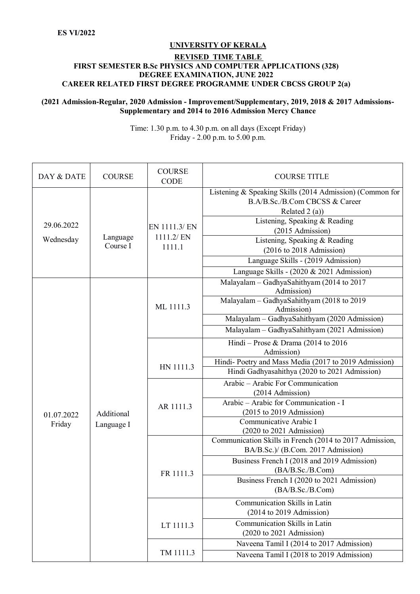## **UNIVERSITY OF KERALA**

## **REVISED TIME TABLE FIRST SEMESTER B.Sc PHYSICS AND COMPUTER APPLICATIONS (328) DEGREE EXAMINATION, JUNE 2022 CAREER RELATED FIRST DEGREE PROGRAMME UNDER CBCSS GROUP 2(a)**

## **(2021 Admission-Regular, 2020 Admission - Improvement/Supplementary, 2019, 2018 & 2017 Admissions-Supplementary and 2014 to 2016 Admission Mercy Chance**

Time: 1.30 p.m. to 4.30 p.m. on all days (Except Friday) Friday - 2.00 p.m. to 5.00 p.m.

| DAY & DATE              | <b>COURSE</b>            | <b>COURSE</b><br><b>CODE</b>         | <b>COURSE TITLE</b>                                                                                          |
|-------------------------|--------------------------|--------------------------------------|--------------------------------------------------------------------------------------------------------------|
|                         |                          |                                      | Listening & Speaking Skills (2014 Admission) (Common for<br>B.A/B.Sc./B.Com CBCSS & Career<br>Related 2 (a)) |
| 29.06.2022<br>Wednesday | Language<br>Course I     | EN 1111.3/ EN<br>1111.2/EN<br>1111.1 | Listening, Speaking & Reading<br>(2015 Admission)                                                            |
|                         |                          |                                      | Listening, Speaking & Reading<br>$(2016 \text{ to } 2018 \text{ Admission})$                                 |
|                         |                          |                                      | Language Skills - (2019 Admission)                                                                           |
|                         | Additional<br>Language I |                                      | Language Skills - (2020 & 2021 Admission)<br>Malayalam - GadhyaSahithyam (2014 to 2017<br>Admission)         |
|                         |                          | ML 1111.3                            | Malayalam - GadhyaSahithyam (2018 to 2019<br>Admission)                                                      |
|                         |                          |                                      | Malayalam - GadhyaSahithyam (2020 Admission)                                                                 |
|                         |                          |                                      | Malayalam - GadhyaSahithyam (2021 Admission)                                                                 |
|                         |                          |                                      | Hindi - Prose & Drama (2014 to 2016                                                                          |
|                         |                          |                                      | Admission)<br>Hindi-Poetry and Mass Media (2017 to 2019 Admission)                                           |
|                         |                          | HN 1111.3                            | Hindi Gadhyasahithya (2020 to 2021 Admission)                                                                |
|                         |                          | AR 1111.3                            | Arabic - Arabic For Communication<br>(2014 Admission)                                                        |
|                         |                          |                                      | Arabic - Arabic for Communication - I                                                                        |
| 01.07.2022<br>Friday    |                          |                                      | $(2015$ to 2019 Admission)<br>Communicative Arabic I                                                         |
|                         |                          |                                      | $(2020 \text{ to } 2021 \text{ Admission})$                                                                  |
|                         |                          |                                      | Communication Skills in French (2014 to 2017 Admission,<br>BA/B.Sc.)/ (B.Com. 2017 Admission)                |
|                         |                          | FR 1111.3                            | Business French I (2018 and 2019 Admission)<br>(BA/B.Sc./B.Com)                                              |
|                         |                          |                                      | Business French I (2020 to 2021 Admission)<br>(BA/B.Sc./B.Com)                                               |
|                         |                          |                                      | Communication Skills in Latin                                                                                |
|                         |                          |                                      | $(2014$ to 2019 Admission)                                                                                   |
|                         |                          | LT 1111.3                            | Communication Skills in Latin<br>$(2020 \text{ to } 2021 \text{ Admission})$                                 |
|                         |                          | TM 1111.3                            | Naveena Tamil I (2014 to 2017 Admission)                                                                     |
|                         |                          |                                      | Naveena Tamil I (2018 to 2019 Admission)                                                                     |